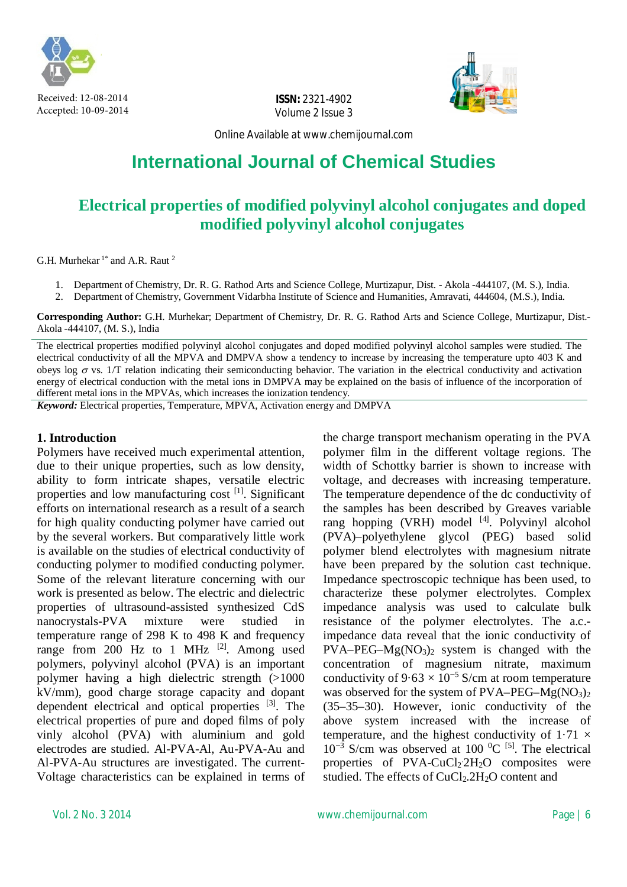

Received: 12-08-2014 Accepted: 10-09-2014

**ISSN:** 2321-4902 Volume 2 Issue 3



Online Available at [www.chemijournal.com](http://www.chemijournal.com)

# **International Journal of Chemical Studies**

# **Electrical properties of modified polyvinyl alcohol conjugates and doped modified polyvinyl alcohol conjugates**

G.H. Murhekar<sup>1\*</sup> and A.R. Raut<sup>2</sup>

- 1. Department of Chemistry, Dr. R. G. Rathod Arts and Science College, Murtizapur, Dist. Akola -444107, (M. S.), India.
- 2. Department of Chemistry, Government Vidarbha Institute of Science and Humanities, Amravati, 444604, (M.S.), India.

**Corresponding Author:** G.H. Murhekar; Department of Chemistry, Dr. R. G. Rathod Arts and Science College, Murtizapur, Dist.- Akola -444107, (M. S.), India

The electrical properties modified polyvinyl alcohol conjugates and doped modified polyvinyl alcohol samples were studied. The electrical conductivity of all the MPVA and DMPVA show a tendency to increase by increasing the temperature upto 403 K and obeys log  $\sigma$  vs. 1/T relation indicating their semiconducting behavior. The variation in the electrical conductivity and activation energy of electrical conduction with the metal ions in DMPVA may be explained on the basis of influence of the incorporation of different metal ions in the MPVAs, which increases the ionization tendency.

*Keyword:* Electrical properties, Temperature, MPVA, Activation energy and DMPVA

#### **1. Introduction**

Polymers have received much experimental attention, due to their unique properties, such as low density, ability to form intricate shapes, versatile electric properties and low manufacturing cost [1]. Significant efforts on international research as a result of a search for high quality conducting polymer have carried out by the several workers. But comparatively little work is available on the studies of electrical conductivity of conducting polymer to modified conducting polymer. Some of the relevant literature concerning with our work is presented as below. The electric and dielectric properties of ultrasound-assisted synthesized CdS nanocrystals-PVA mixture were studied in temperature range of 298 K to 498 K and frequency range from 200 Hz to 1 MHz  $^{[2]}$ . Among used polymers, polyvinyl alcohol (PVA) is an important polymer having a high dielectric strength (>1000 kV/mm), good charge storage capacity and dopant dependent electrical and optical properties [3]. The electrical properties of pure and doped films of poly vinly alcohol (PVA) with aluminium and gold electrodes are studied. Al-PVA-Al, Au-PVA-Au and Al-PVA-Au structures are investigated. The current-Voltage characteristics can be explained in terms of

the charge transport mechanism operating in the PVA polymer film in the different voltage regions. The width of Schottky barrier is shown to increase with voltage, and decreases with increasing temperature. The temperature dependence of the dc conductivity of the samples has been described by Greaves variable rang hopping (VRH) model  $[4]$ . Polyvinyl alcohol (PVA)–polyethylene glycol (PEG) based solid polymer blend electrolytes with magnesium nitrate have been prepared by the solution cast technique. Impedance spectroscopic technique has been used, to characterize these polymer electrolytes. Complex impedance analysis was used to calculate bulk resistance of the polymer electrolytes. The a.c. impedance data reveal that the ionic conductivity of  $PVA–PEG–Mg(NO<sub>3</sub>)<sub>2</sub>$  system is changed with the concentration of magnesium nitrate, maximum conductivity of  $9.63 \times 10^{-5}$  S/cm at room temperature was observed for the system of  $PVA-PEG-Mg(NO<sub>3</sub>)<sub>2</sub>$ (35–35–30). However, ionic conductivity of the above system increased with the increase of temperature, and the highest conductivity of  $1.71 \times$ 10<sup>-3</sup> S/cm was observed at 100 <sup>0</sup>C <sup>[5]</sup>. The electrical properties of PVA-CuCl<sub>2</sub><sup>2</sup>H<sub>2</sub>O composites were studied. The effects of  $CuCl<sub>2</sub>$ .  $2H<sub>2</sub>O$  content and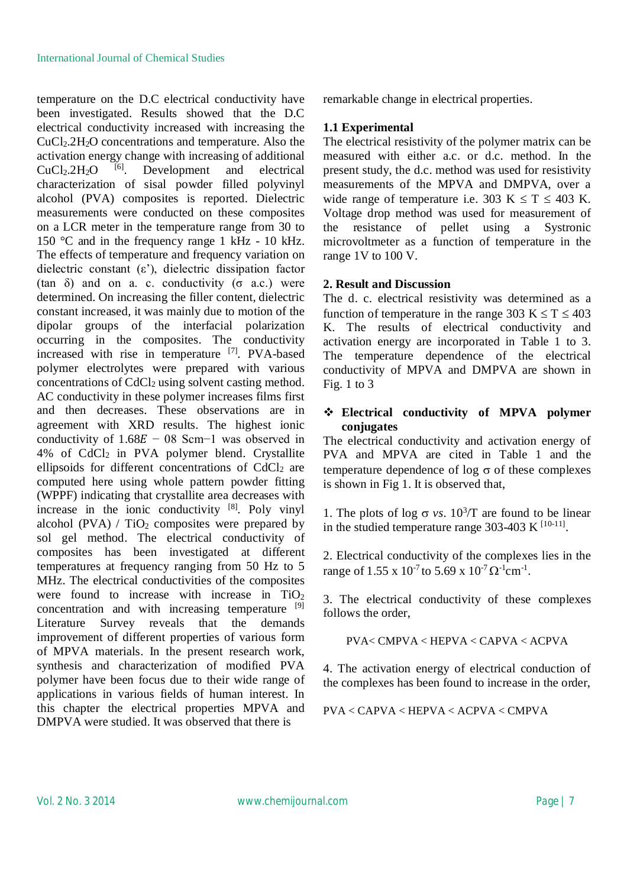temperature on the D.C electrical conductivity have been investigated. Results showed that the D.C electrical conductivity increased with increasing the  $CuCl<sub>2</sub>.2H<sub>2</sub>O$  concentrations and temperature. Also the activation energy change with increasing of additional  $CuCl<sub>2</sub>.2H<sub>2</sub>O$  [6]. Development and electrical  $CuCl<sub>2</sub>.2H<sub>2</sub>O$  <sup>[6]</sup>. Development and electrical characterization of sisal powder filled polyvinyl alcohol (PVA) composites is reported. Dielectric measurements were conducted on these composites on a LCR meter in the temperature range from 30 to 150 °C and in the frequency range 1 kHz - 10 kHz. The effects of temperature and frequency variation on dielectric constant  $(\varepsilon)$ , dielectric dissipation factor (tan  $\delta$ ) and on a. c. conductivity ( $\sigma$  a.c.) were determined. On increasing the filler content, dielectric constant increased, it was mainly due to motion of the dipolar groups of the interfacial polarization occurring in the composites. The conductivity increased with rise in temperature [7]. PVA-based polymer electrolytes were prepared with various concentrations of CdCl<sub>2</sub> using solvent casting method. AC conductivity in these polymer increases films first and then decreases. These observations are in agreement with XRD results. The highest ionic conductivity of  $1.68E - 08$  Scm−1 was observed in 4% of CdCl<sup>2</sup> in PVA polymer blend. Crystallite ellipsoids for different concentrations of  $CdCl<sub>2</sub>$  are computed here using whole pattern powder fitting (WPPF) indicating that crystallite area decreases with increase in the ionic conductivity [8]. Poly vinyl alcohol (PVA)  $/$  TiO<sub>2</sub> composites were prepared by sol gel method. The electrical conductivity of composites has been investigated at different temperatures at frequency ranging from 50 Hz to 5 MHz. The electrical conductivities of the composites were found to increase with increase in  $TiO<sub>2</sub>$ concentration and with increasing temperature <sup>[9]</sup> Literature Survey reveals that the demands improvement of different properties of various form of MPVA materials. In the present research work, synthesis and characterization of modified PVA polymer have been focus due to their wide range of applications in various fields of human interest. In this chapter the electrical properties MPVA and DMPVA were studied. It was observed that there is

remarkable change in electrical properties.

#### **1.1 Experimental**

The electrical resistivity of the polymer matrix can be measured with either a.c. or d.c. method. In the present study, the d.c. method was used for resistivity measurements of the MPVA and DMPVA, over a wide range of temperature i.e. 303 K  $\leq T \leq 403$  K. Voltage drop method was used for measurement of the resistance of pellet using a Systronic microvoltmeter as a function of temperature in the range 1V to 100 V.

#### **2. Result and Discussion**

The d. c. electrical resistivity was determined as a function of temperature in the range 303 K  $\leq$  T  $\leq$  403 K. The results of electrical conductivity and activation energy are incorporated in Table 1 to 3. The temperature dependence of the electrical conductivity of MPVA and DMPVA are shown in Fig. 1 to  $3$ 

## **Electrical conductivity of MPVA polymer conjugates**

The electrical conductivity and activation energy of PVA and MPVA are cited in Table 1 and the temperature dependence of  $log \sigma$  of these complexes is shown in Fig 1. It is observed that,

1. The plots of log  $\sigma$  *vs*. 10<sup>3</sup>/T are found to be linear in the studied temperature range 303-403 K  $^{[10-11]}$ .

2. Electrical conductivity of the complexes lies in the range of  $1.55 \times 10^{-7}$  to  $5.69 \times 10^{-7} \Omega^{-1}$ cm<sup>-1</sup>.

3. The electrical conductivity of these complexes follows the order,

PVA< CMPVA < HEPVA < CAPVA < ACPVA

4. The activation energy of electrical conduction of the complexes has been found to increase in the order,

PVA < CAPVA < HEPVA < ACPVA < CMPVA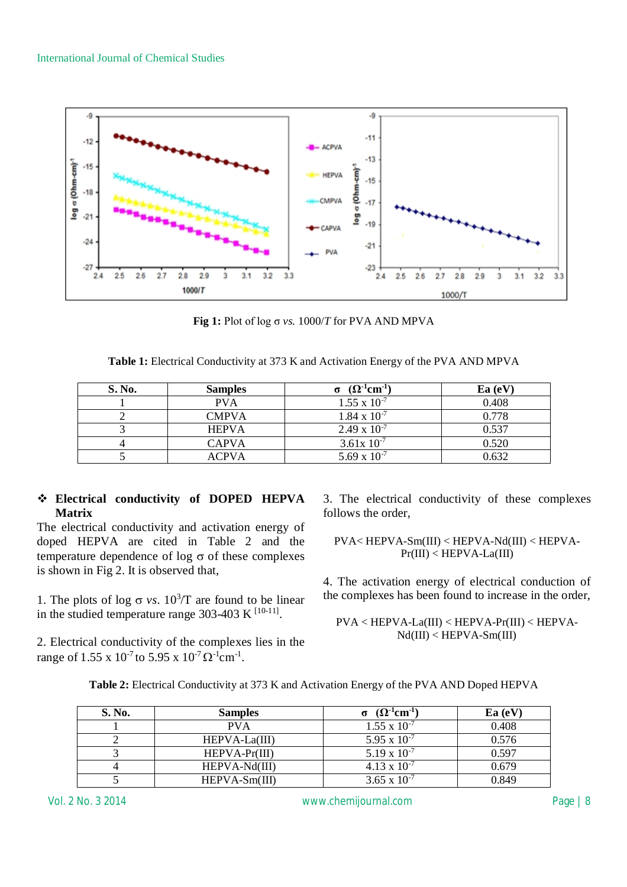

**Fig 1:** Plot of log σ *vs.* 1000/*T* for PVA AND MPVA

| <b>S. No.</b> | <b>Samples</b> | $(\Omega^{\text{-1}}\text{cm}^{\text{-1}})$ | Ea(eV) |
|---------------|----------------|---------------------------------------------|--------|
|               | <b>PVA</b>     | $1.55 \times 10^{-7}$                       | 0.408  |
|               | <b>CMPVA</b>   | $1.84 \times 10^{-7}$                       | 0.778  |
|               | <b>HEPVA</b>   | $2.49 \times 10^{-7}$                       | 0.537  |
|               | <b>CAPVA</b>   | $3.61x\ 10^{-7}$                            | 0.520  |
|               | ACPVA          | 5.69 x $10^{-7}$                            | 0.632  |

## **Electrical conductivity of DOPED HEPVA Matrix**

The electrical conductivity and activation energy of doped HEPVA are cited in Table 2 and the temperature dependence of  $log \sigma$  of these complexes is shown in Fig 2. It is observed that,

1. The plots of log  $\sigma$  *vs*. 10<sup>3</sup>/T are found to be linear in the studied temperature range 303-403 K  $^{[10-11]}$ .

2. Electrical conductivity of the complexes lies in the range of  $1.55 \times 10^{-7}$  to  $5.95 \times 10^{-7} \Omega^{-1}$ cm<sup>-1</sup>.

3. The electrical conductivity of these complexes follows the order,

$$
PVA\!<\!HEPVA\!\!-\!\!Sm(III)<\!HEPVA\!\!-\!\!Nd(III)<\!HEPVA\!\!-\!\!Pr(III)<\!HEPVA\!\!-\!\!La(III)
$$

4. The activation energy of electrical conduction of the complexes has been found to increase in the order,

PVA < HEPVA-La(III) < HEPVA-Pr(III) < HEPVA- $Nd(III) < HEPVA-Sm(III)$ 

| S. No. | <b>Samples</b>  | $(\Omega$ <sup>-1</sup> cm <sup>-1</sup> | Ea(eV) |
|--------|-----------------|------------------------------------------|--------|
|        | <b>PVA</b>      | $1.55 \times 10^{-7}$                    | 0.408  |
|        | $HEPVA-La(III)$ | 5.95 x $10^{-7}$                         | 0.576  |
|        | $HEPVA-Pr(III)$ | $5.19 \times 10^{-7}$                    | 0.597  |
|        | HEPVA-Nd(III)   | $4.13 \times 10^{-7}$                    | 0.679  |
|        | $HEPVA-Sm(III)$ | 3.65 x $10^{-7}$                         | 0.849  |

**Table 2:** Electrical Conductivity at 373 K and Activation Energy of the PVA AND Doped HEPVA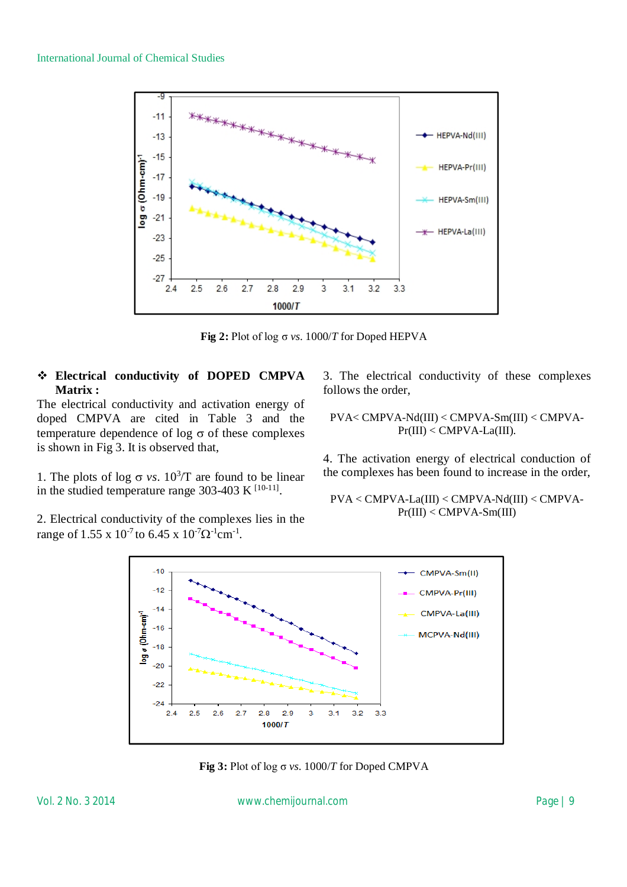

**Fig** 2: Plot of log  $\sigma$  *vs.* 1000/*T* for Doped HEPVA

#### **Electrical conductivity of DOPED CMPVA Matrix :**

The electrical conductivity and activation energy of doped CMPVA are cited in Table 3 and the temperature dependence of  $log \sigma$  of these complexes is shown in Fig 3. It is observed that,

1. The plots of log  $\sigma$  *vs*. 10<sup>3</sup>/T are found to be linear in the studied temperature range 303-403 K  $^{[10-11]}$ .

2. Electrical conductivity of the complexes lies in the range of  $1.55 \times 10^{-7}$  to  $6.45 \times 10^{-7} \Omega^{-1}$ cm<sup>-1</sup>.

3. The electrical conductivity of these complexes follows the order,

PVA< CMPVA-Nd(III) < CMPVA-Sm(III) < CMPVA- $Pr(III) < CMPVA-La(III).$ 

4. The activation energy of electrical conduction of the complexes has been found to increase in the order,

PVA < CMPVA-La(III) < CMPVA-Nd(III) < CMPVA-Pr(III) < CMPVA-Sm(III)



**Fig 3:** Plot of log σ *vs.* 1000/*T* for Doped CMPVA

Vol. 2 No. 3 2014 [www.chemijournal.com](http://www.chemijournal.com) Page | 9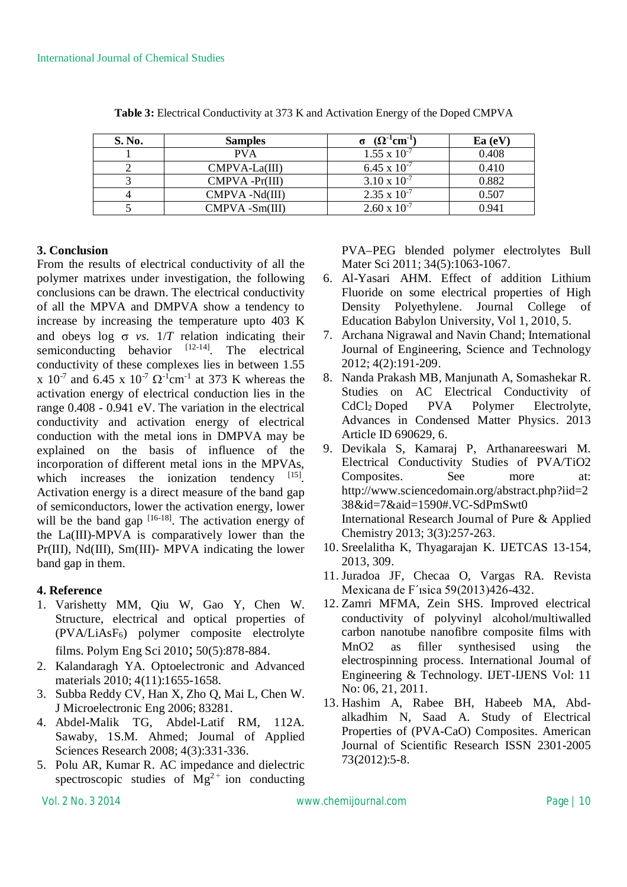| S. No. | <b>Samples</b>    | $(\Omega^4$ cm $^{-1}$ | Ea (eV |
|--------|-------------------|------------------------|--------|
|        | <b>PVA</b>        | $1.55 \times 10^{-7}$  | 0.408  |
|        | $CMPVA-La(III)$   | 6.45 x $10^{-7}$       | 0.410  |
|        | $CMPVA - Pr(III)$ | $3.10 \times 10^{-7}$  | 0.882  |
|        | CMPVA-Nd(III)     | $2.35 \times 10^{-7}$  | 0.507  |
|        | CMPVA -Sm(III)    | $2.60 \times 10^{-7}$  | 0.941  |

**Table 3:** Electrical Conductivity at 373 K and Activation Energy of the Doped CMPVA

#### **3. Conclusion**

From the results of electrical conductivity of all the polymer matrixes under investigation, the following conclusions can be drawn. The electrical conductivity of all the MPVA and DMPVA show a tendency to increase by increasing the temperature upto 403 K and obeys log  $\sigma$  vs.  $1/T$  relation indicating their semiconducting behavior  $[12-14]$ . The electrical conductivity of these complexes lies in between 1.55 x  $10^{-7}$  and 6.45 x  $10^{-7} \Omega^{-1}$ cm<sup>-1</sup> at 373 K whereas the activation energy of electrical conduction lies in the range 0.408 - 0.941 eV. The variation in the electrical conductivity and activation energy of electrical conduction with the metal ions in DMPVA may be explained on the basis of influence of the incorporation of different metal ions in the MPVAs, which increases the ionization tendency [15]. Activation energy is a direct measure of the band gap of semiconductors, lower the activation energy, lower will be the band gap  $[16-18]$ . The activation energy of the La(III)-MPVA is comparatively lower than the Pr(III), Nd(III), Sm(III)- MPVA indicating the lower band gap in them.

#### **4. Reference**

- 1. Varishetty MM, Qiu W, Gao Y, Chen W. Structure, electrical and optical properties of (PVA/LiAsF6) polymer composite electrolyte films. Polym Eng Sci 2010; 50(5):878-884.
- 2. Kalandaragh YA. Optoelectronic and Advanced materials 2010; 4(11):1655-1658.
- 3. Subba Reddy CV, Han X, Zho Q, Mai L, Chen W. J Microelectronic Eng 2006; 83281.
- 4. Abdel-Malik TG, Abdel-Latif RM, 112A. Sawaby, 1S.M. Ahmed; Journal of Applied Sciences Research 2008; 4(3):331-336.
- 5. Polu AR, Kumar R. AC impedance and dielectric spectroscopic studies of  $Mg^{2+}$  ion conducting

PVA–PEG blended polymer electrolytes Bull Mater Sci 2011; 34(5):1063-1067.

- 6. Al-Yasari AHM. Effect of addition Lithium Fluoride on some electrical properties of High Density Polyethylene. Journal College of Education Babylon University, Vol 1, 2010, 5.
- 7. Archana Nigrawal and Navin Chand; International Journal of Engineering, Science and Technology 2012; 4(2):191-209.
- 8. Nanda Prakash MB, Manjunath A, Somashekar R. Studies on AC Electrical Conductivity of CdCl<sup>2</sup> Doped PVA Polymer Electrolyte, Advances in Condensed Matter Physics. 2013 Article ID 690629, 6.
- 9. Devikala S, Kamaraj P, Arthanareeswari M. Electrical Conductivity Studies of PVA/TiO2 Composites. See more at: <http://www.sciencedomain.org/abstract.php?iid=2> 38&id=7&aid=1590#.VC-SdPmSwt0 International Research Journal of Pure & Applied Chemistry 2013; 3(3):257-263.
- 10. Sreelalitha K, Thyagarajan K. IJETCAS 13-154, 2013, 309.
- 11. Juradoa JF, Checaa O, Vargas RA. Revista Mexicana de F´ısica 59(2013)426-432.
- 12. Zamri MFMA, Zein SHS. Improved electrical conductivity of polyvinyl alcohol/multiwalled carbon nanotube nanofibre composite films with MnO2 as filler synthesised using the electrospinning process. International Journal of Engineering & Technology. IJET-IJENS Vol: 11 No: 06, 21, 2011.
- 13. Hashim A, Rabee BH, Habeeb MA, Abdalkadhim N, Saad A. Study of Electrical Properties of (PVA-CaO) Composites. American Journal of Scientific Research ISSN 2301-2005 73(2012):5-8.